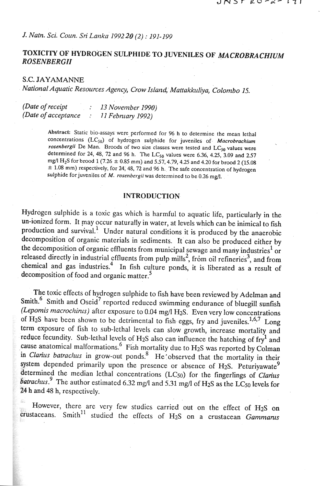## *J. Natn. Sci. Coun. Sri Lartka 199220 (2)* : *191-199*

## TOXICITY OF HYDROGEN SULPHIDE TO JUVENILES OF MACROBRACHIUM *ROSENBERGU*

#### S.C. **JAYAMANNE**

*National Aquatic Reiources Agency, Crow Islan~. Mattakkuliya, Colonzbo 15.* 

| (Date of receipt)    | 13 November 1990) |
|----------------------|-------------------|
| (Date of acceptance) | 11 February 1992) |

**Abslracl: Static bio-assays were performed for** 96 **h to determine the mean lethal**  concentrations (LC<sub>50</sub>) of hydrogen sulphide for juveniles of *Macrobrachium rosenbergii* De Man. Broods of two size classes were tested and LC<sub>50</sub> values were **determined for 24,** 48, 72 **and** 96 **h. The LCso values were** 6.36, 4.25, 3.09 **and** 257 **mg/l H<sub>2</sub>S for brood 1 (7.26 ± 0.85 mm) and 5.57, 4.79, 4.25 and 4.20 for brood 2 (15.08**  $\pm$  1.08 mm) respectively, for 24, 48, 72 and 96 h. The safe concentration of hydrogen **sulphide for juveniles of M.** *rosenbergii* **was determined to be** 0.26 **mg/l.** 

### **INTRODUCTION**

Hydrogen suiphide is a toxic gas which is harmful to aquatic life, particularly in the un-ionized form. It may occur naturally in water, at levels which can be inimical to fish production and survival.' Under natural conditions it is produced by the anaerobic decomposition of organic materials in sediments. It can also be produced either by the decomposition of organic effluents from municipal sewage and many industries<sup>1</sup> or released directly in industrial effluents from pulp mills<sup>2</sup>, from oil refineries<sup>3</sup>, and from chemical and gas industries? In fish culture ponds, it is liberated as a result of decomposition of food and organic matter.<sup>5</sup>

The toxic effects of hydrogen sulphide to fish have been reviewed by Adelman and Smith.<sup>6</sup> Smith and Oseid<sup>7</sup> reported reduced swimming endurance of bluegill sunfish *(Lepomis macrochinis)* after exposure to 0.04 mg/l H<sub>2</sub>S. Even very low concentrations of H<sub>2</sub>S have been shown to be detrimental to fish eggs, fry and juveniles.<sup>1,6,7</sup> Long term exposure of fish to sub-lethal levels can slow growth, increase mortality and reduce fecundity. Sub-lethal levels of H<sub>2</sub>S also can influence the hatching of  $fry<sup>1</sup>$  and cause anatomical malformations. $6$  Fish mortality due to H<sub>2</sub>S was reported by Colman in *Clarius batrachus* in grow-out ponds.<sup>8</sup> He'observed that the mortality in their system depended primarily upon the presence or absence of H<sub>2</sub>S. Peturiyawate<sup>9</sup> determined the median lethal concentrations **(LCso)** for the fingerlings of *Clarius batrachus.* <sup>9</sup> The author estimated 6.32 mg/l and 5.31 mg/l of H<sub>2</sub>S as the LC<sub>50</sub> levels for 24 h and 48 h, respectively.

However, there are very few studies carried out on the effect of H2S on crustaceans. Smith<sup>11</sup> studied the effects of H<sub>2</sub>S on a crustacean *Gammarus*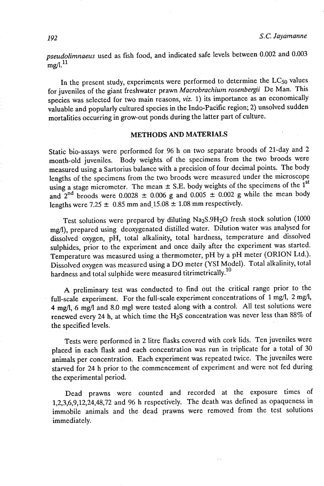*pseudolimnaeus* used as fish food, and indicated safe levels between 0.002 and 0.003  $m\varrho/1$ <sup>11</sup>

In the present study, experiments were performed to determine the  $LC_{50}$  values for juveniles of the giant freshwater prawn *Macrobrachium rosenbergii* De Man. This species was selected for two main reasons, viz. 1) its importance as an economically valuable and popularly cultured species in the Indo-Pacific region; 2) unsolved sudden mortalities occurring in grow-out ponds during the latter part of culture.

#### **METHODS AND MATERIALS**

Static bio-assays were performed for 96 h on two separate broods of 21-day and 2 month-old juveniles. Body weights of the specimens from the two broods were measured using a Sartorius balance with a precision of four decimal points. The body lengths of the specimens from the two broods were measured under the microscope using a stage micrometer. The mean  $\pm$  S.E. body weights of the specimens of the  $1<sup>st</sup>$ and  $2^{nd}$  broods were 0.0028  $\pm$  0.006 g and 0.005  $\pm$  0.002 g while the mean body lengths were 7.25  $\pm$  0.85 mm and 15.08  $\pm$  1.08 mm respectively.

Test solutions were prepared by diluting Na<sub>2</sub>S.9H<sub>2</sub>O fresh stock solution (1000) mg/l), prepared using deoxygenated distilled water. Dilution water was analysed for dissolved oxygen, pH, total alkalinity, total hardness, temperature and dissolved sulphides, prior to the experiment and once daily after the experiment was started. Temperature was measured using a thermometer, pH by a pH meter (ORION Ltd.). Dissolved oxygen was measured using a DO meter (YSI Model). Total alkalinity, total hardness and total sulphide were measured titrimetrically.<sup>10</sup>

A preliminary test was conducted to find out the critical range prior to the full-scale experiment. For the full-scale experiment concentrations of 1 mg/l, 2 mg/l, 4 mg/l, 6 mg/l and 8.0 mgl were tested along with a control. All test solutions were renewed every 24 h, at which time the H2S concentration was never less than 88% of the specified levels.

Tests were performed in 2 litre flasks covered with cork lids. Ten juveniles were placed in each flask and each concentration was run in triplicate for a total of 30 animals per concentration. Each experiment was repeated twice. The juveniles were starved for 24 h prior to the commencement of experiment and were not fed during the experimental period.

Dead prawns were counted and recorded at the exposure times of 1,2,3,6,9,12,24,48,72 and 96 h respectively. The death was defined as opaqueness in immobile animals and the dead prawns were removed from the test solutions immediately.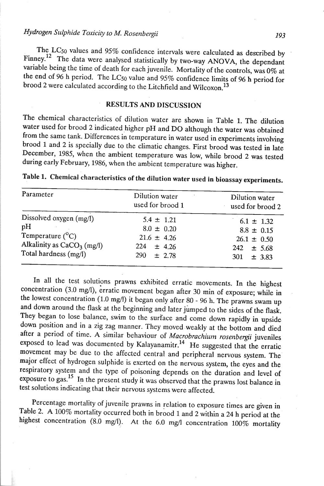The LCso values and 95% confidence intervals were calculated as described by Finney.<sup>12</sup> The data were analysed statistically by two-way ANOVA, the dependant variable being the time of death for each juvenile. Mortality of the controls, was 0% at the end of 96 h period. The LC50 value and 95% confidence limits of 96 h period for brood 2 were calculated according to the Litchfield and Wilcoxon.<sup>13</sup>

### **RESULTS AND DISCUSSION**

The chemical characteristics of dilution water are shown in Table 1. The dilution water used for brood 2 indicated higher pH and DO although the water was obtained from the same tank. Differences in temperature in water used in experiments involving brood 1 and 2 is specially due to the climatic changes. First brood was tested in late December, 1985, when the ambient temperature was low, while brood 2 was tested during early February, 1986, when the ambient temperature was higher.

| Parameter                                                                                                           | Dilution water<br>used for brood 1                                                              | Dilution water<br>used for brood 2                                                      |
|---------------------------------------------------------------------------------------------------------------------|-------------------------------------------------------------------------------------------------|-----------------------------------------------------------------------------------------|
| Dissolved oxygen (mg/l)<br>pH<br>Temperature $(^{\circ}C)$<br>Alkalinity as $CaCO3$ (mg/l)<br>Total hardness (mg/l) | $5.4 \pm 1.21$<br>$8.0 \pm 0.20$<br>$21.6 \pm 4.26$<br>224<br>$\pm$ 4.26<br>290 l<br>$\pm$ 2.78 | $6.1 \pm 1.32$<br>$8.8 \pm 0.15$<br>$26.1 \pm 0.50$<br>$242 \pm 5.68$<br>$301 \pm 3.83$ |

Table 1. Chemical characteristics of the dilution water used in bioassay experiments.

In all the test solutions prawns exhibited erratic movements. In the highest concentration (3.0 mg/l), erratic movement began after 30 min of exposure; while in the lowest concentration (1.0 mg/l) it began only after 80 - 96 h. The prawns swam up and down around the flask at the beginning and later jumped to the sides of the flask. They began to lose balance, swim to the surface and come down rapidly in upside down position and in a zig zag manner. They moved weakly at the bottom and died after a period of time. A similar behaviour of *Macrobrachium rosenbergii* juveniles exposed to lead was documented by Kalayanamitr.<sup>14</sup> He suggested that the erratic movement may be due to the affected central and peripheral nervous system. The major effect of hydrogen sulphide is exerted on the nervous system, the eyes and the respiratory system and the type of poisoning depends on the duration and level of exposure to gas.<sup>15</sup> In the present study it was observed that the prawns lost balance in test solutions indicating that their nervous systems were affected.

Percentage mortality of juvenile prawns in relation to exposure times are given in Table 2. A 100% mortality occurred both in brood 1 and 2 within a 24 h period at the highest concentration (8.0 mg/l). At the 6.0 mg/l concentration 100% mortality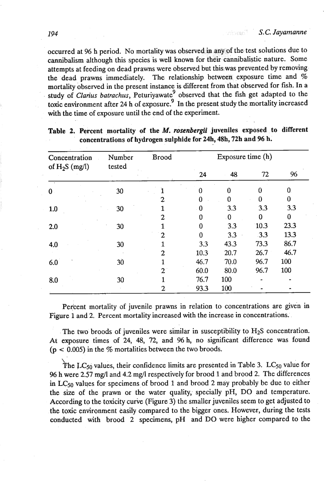occurred at 96 h period. No mortality was observed in any of the test solutions due to cannibalism although this species is well known for their cannibalistic nature. Some attempts at feeding on dead prawns were observed but this was prevented by removing the dead prawns immediately. The relationship between exposure time and % mortality observed in the present instance is different from that observed for fish. In a study of *Clarius batrachus*, Peturiyawate<sup>9</sup> observed that the fish get adapted to the toxic environment after *24* h **of** expasure? In the present study the mortality increased with the time of exposure until the end of the experiment.

| Concentration    | Number | <b>Brood</b> | Exposure time (h) |          |          |              |
|------------------|--------|--------------|-------------------|----------|----------|--------------|
| of $H_2S$ (mg/l) | tested |              | 24                | 48       | 72       | 96           |
| $\bf{0}$         | 30     |              | O                 | 0        | $\Omega$ | $\mathbf{0}$ |
|                  |        | 2            | $\Omega$          | $\bf{0}$ | $\Omega$ | 0            |
| 1.0              | 30     |              | - 0               | 3.3      | 3.3      | 3.3          |
|                  |        | 2            | 0                 | 0        | 0        | 0            |
| 2.0              | 30     |              | O                 | 3.3      | 10.3     | 23.3         |
|                  |        | 2            | 0                 | 3.3      | 3.3      | 13.3         |
| 4.0              | 30     |              | 3.3               | 43.3     | 73.3     | 86.7         |
|                  |        | 2            | 10.3              | 20.7     | 26.7     | $-46.7$      |
| 6.0              | 30     |              | 46.7              | 70.0     | 96.7     | 100          |
|                  |        | 2            | 60.0              | 80.0     | 96.7     | 100          |
| 8.0              | 30     |              | 76.7              | 100      |          |              |
|                  |        | 2            | 93.3              | 100      |          |              |

### **Table 2. Percent mortality of the M.** *rosenbergii* **juveniles exposed to different concentrations of hydrogen sulphide for 24h, 48h, 72h and 96 h.**

Percent mortality of juvenile prawns in relation to concentrations are given in Figure 1 and 2. Percent mortality increased with the increase in concentrations.

The two broods of juveniles were similar in susceptibility to  $H_2S$  concentration. At exposure times of 24, 48, 72, and 96 h, no significant difference was found  $(p < 0.005)$  in the % mortalities between the two broods.

 $\sum$ The LC<sub>50</sub> values, their confidence limits are presented in Table 3. LC<sub>50</sub> value for 96 h were 2.57 mg/l and 4.2 mg/l respectively for brood 1 and brood 2. The differences *in* **LC50** vaIues for specimens of brood 1 and brood *2* may probably be due to either the size of the prawn or the water quality, specially pH, DO and temperature. According to the toxicity curie (Figure 3) the smaller juveniles seem to get adjusted to the toxic environment easily compared to the bigger ones. However, during the tests conducted with brood *2* specimens, pH and DO were higher compared to the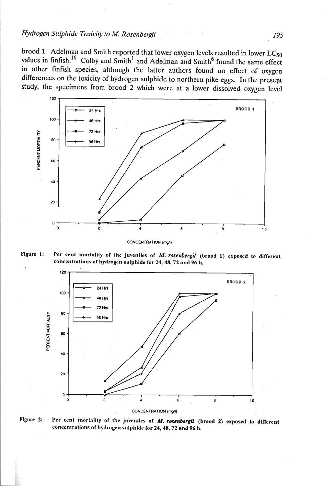## *Hydrogen Sulplride Toxicity to M. Rosenbergii 195*

brood 1. Adelman and Smith reported that lower oxygen levels resulted in lower **LCso**  values in finfish.<sup>16</sup> Colby and Smith<sup>1</sup> and Adelman and Smith<sup>6</sup> found the same effect in other finfish species, although the latter authors found no effect of oxygen differences on the toxicity of hydrogen sulphide to northern pike eggs. In the presept study, the specimens from brood 2 which were at a lower dissolved oxygen level







Figure 2: Per cent mortality of the juveniles of *M. rosenbergii* (brood 2) exposed to different **concentrations of hydrogen sulphide for 24,48,72 and 96 h**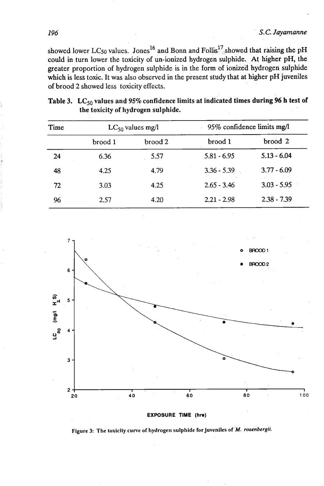showed lower LC50 values. Jones<sup>16</sup> and Bonn and  $Follis<sup>17</sup><sub>1</sub> showed that raising the pH$ could in turn lower the toxicity of un-ionized hydrogen sulphide. At higher pH, the greater proportion of hydrogen sulphide is in the form of ionized hydrogen sulphide which is less toxic. It was also observed in the present study that at higher pH juveniles of brood 2 showed less toxicity effects.

| Time | $LC_{50}$ values mg/l |         | 95% confidence limits mg/l |                    |  |
|------|-----------------------|---------|----------------------------|--------------------|--|
|      | brood 1               | brood 2 | brood 1                    | brood <sub>2</sub> |  |
| 24   | 6.36                  | 5.57    | $5.81 - 6.95$              | $5.13 - 6.04$      |  |
| 48   | 4.25                  | 4.79    | $3.36 - 5.39$              | $3.77 - 6.09$      |  |
| 72   | 3.03                  | 4.25    | $2.65 - 3.46$              | $3.03 - 5.95$      |  |
| 96   | 2.57                  | 4.20    | $2.21 - 2.98$              | $2.38 - 7.39$      |  |

# Table 3. LC<sub>50</sub> values and 95% confidence limits at indicated times during 96 h test of **the toxicity of hydrogen sulphide.**



Figure 3: The toxicity curve of hydrogen sulphide for juveniles of *M. rosenbergii.* 

196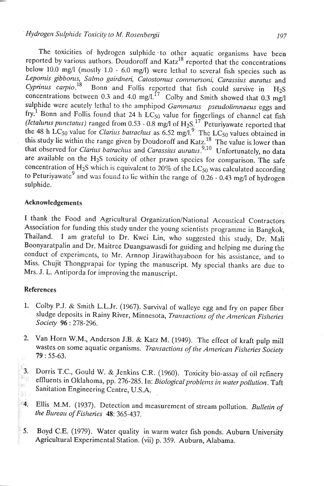## *Hydrogen Sulphide Toxicity to M. Rosenbergii* 197

reported by various authors. Doudoroff and  $Katz^{18}$  reported that the concentrations below 10.0 mg/l (mostly 1.0 - 6.0 mg/l) were lethal to several fish species such as Lepomis gibborus, Salmo gairdneri, Catostomus commersoni, Carassius auratus and *Cyprinius carpio.*<sup>18</sup> Bonn and Follis reported that fish could survive in H<sub>2</sub>S concentrations between 0.3 and 4.0 mg/l.<sup>17</sup> Colby and Smith showed that 0.3 mg/l sulphide were acutely lethal to the amphipod *Gammanus pseudolimnaeus* eggs and fry.<sup>1</sup> Bonn and Follis found that 24 h  $LC_{50}$  value for fingerlings of channel cat fish *(Ictalurus punctatus)* ranged from  $0.53 - 0.8$  mg/l of  $H_2S$ .<sup>17</sup> Peturiyawate reported that the 48 h  $LC_{50}$  value for *Clarius batrachus* as  $6.52 \text{ mg/l}^9$ . The LC<sub>50</sub> values obtained in this study lie within the range given by Doudoroff and Katz.<sup>18</sup> The value is lower than that observed for *Clarius batrachus* and *Carassius auratus*<sup>9,10</sup> Unfortunately, no data are available on the  $H_2S$  toxicity of other prawn species for comparison. The safe concentration of H2S which is equivalent to 20% of the *LCso* was calculated according to Peturiyawate<sup>9</sup> and was found to lie within the range of 0.26 - 0.43 mg/l of hydrogen sulphide.

#### **Acknowledgements**

I thank the Food and Agricultural Organization/National Acoustical Contractors Association for funding this study under the young scientists programme in Bangkok, Thailand. I am grateful to Dr. Kwei Lin, who suggested this study, Dr. Mali Boonyaratpalin and Dr. Maitree Duangsawasdi for guiding and helping me during the conduct of experiments, to Mr. Arnnop Jirawithayaboon for his assistance, and to Miss. Chujit Thongprapai for typing the manuscript. My special thanks are due to Mrs. J. L. Antiporda for improving the manuscript.

#### **References**

- **1.** Colby P.J. & Smilh L.L.Jr. (1967). Survival of walleye egg and fry on paper fiber sludge deposits in Rainy River, Minnesota, *Transactions of the American Fislteries Society 96* : 278-296.
- 2. Van Horn W.M., Anderson J.B. & Katz M. (1949). The effect of kraft pulp mill vastes on some aquatic organisms. *Transactions of the American Fisheries Society* 9: 55-63.
- 3. Dorris T.C., Gould W. & Jenkins C.R. (1960). Toxicity bio-assay of oil refinery effluents in Oklahoma, pp. 276-285. In: *Biological problems in water pollution*. Taft y. Sanitation Engineering Centre, U.S.A. ä1
- **4.** Ellis M.M. (1937). Detection and measurement of stream pollution. *Bulletin of the Bureau of Fisheries 48: 365-437.*
- **5.** Boyd C.E. (1979). Water quality in warm water fish ponds. Auburn University Agricultural Experimental Station. (vii) p. 359. Auburn, Alabama.